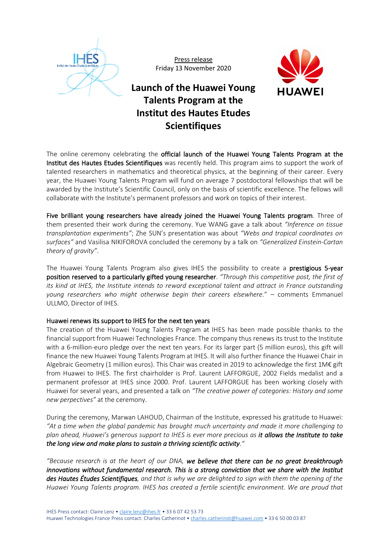

Press release Friday 13 November 2020



# **Launch of the Huawei Young Talents Program at the Institut des Hautes Etudes Scientifiques**

The online ceremony celebrating the official launch of the Huawei Young Talents Program at the Institut des Hautes Etudes Scientifiques was recently held. This program aims to support the work of talented researchers in mathematics and theoretical physics, at the beginning of their career. Every year, the Huawei Young Talents Program will fund on average 7 postdoctoral fellowships that will be awarded by the Institute's Scientific Council, only on the basis of scientific excellence. The fellows will collaborate with the Institute's permanent professors and work on topics of their interest.

Five brilliant young researchers have already joined the Huawei Young Talents program. Three of them presented their work during the ceremony. Yue WANG gave a talk about *"Inference on tissue transplantation experiments"*; Zhe SUN's presentation was about *"Webs and tropical coordinates on surfaces"* and Vasilisa NIKIFOROVA concluded the ceremony by a talk on *"Generalized Einstein-Cartan theory of gravity"*.

The Huawei Young Talents Program also gives IHES the possibility to create a prestigious 5-year position reserved to a particularly gifted young researcher. *"Through this competitive post, the first of its kind at IHES, the Institute intends to reward exceptional talent and attract in France outstanding young researchers who might otherwise begin their careers elsewhere.*" – comments Emmanuel ULLMO, Director of IHES.

## Huawei renews its support to IHES for the next ten years

The creation of the Huawei Young Talents Program at IHES has been made possible thanks to the financial support from Huawei Technologies France. The company thus renews its trust to the Institute with a 6-million-euro pledge over the next ten years. For its larger part (5 million euros), this gift will finance the new Huawei Young Talents Program at IHES. It will also further finance the Huawei Chair in Algebraic Geometry (1 million euros). This Chair was created in 2019 to acknowledge the first 1M€ gift from Huawei to IHES. The first chairholder is Prof. Laurent LAFFORGUE, 2002 Fields medalist and a permanent professor at IHES since 2000. Prof. Laurent LAFFORGUE has been working closely with Huawei for several years, and presented a talk on *"The creative power of categories: History and some new perpectives"* at the ceremony.

During the ceremony, Marwan LAHOUD, Chairman of the Institute, expressed his gratitude to Huawei: *"At a time when the global pandemic has brought much uncertainty and made it more challenging to plan ahead, Huawei's generous support to IHES is ever more precious as it allows the Institute to take the long view and make plans to sustain a thriving scientific activity."*

*"Because research is at the heart of our DNA, we believe that there can be no great breakthrough innovations without fundamental research. This is a strong conviction that we share with the Institut des Hautes Études Scientifiques, and that is why we are delighted to sign with them the opening of the Huawei Young Talents program. IHES has created a fertile scientific environment. We are proud that*